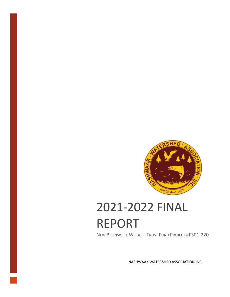

# 2021-2022 FINAL REPORT

NEW BRUNSWICK WILDLIFE TRUST FUND PROJECT #F301-220

NASHWAAK WATERSHED ASSOCIATION INC.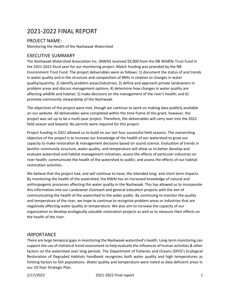# 2021-2022 FINAL REPORT

## PROJECT NAME:

Monitoring the Health of the Nashwaak Watershed

### EXECUTIVE SUMMARY

The Nashwaak Watershed Association Inc. (NWAI) received \$9,000 from the NB Wildlife Trust Fund in the 2021-2022 fiscal year for our monitoring project. Match funding was provided by the NB Environment Trust Fund. The project deliverables were as follows: 1) document the status of and trends in water quality and in the structure and composition of BMIs in relation to changes in water quality/quantity; 2) identify problem areas/industries; 3) define and approach private landowners in problem areas and discuss management options; 4) determine how changes in water quality are affecting wildlife and habitat; 5) make decisions on the management of the river's health; and 6) promote community stewardship of the Nashwaak.

The objectives of the project were met, though we continue to work on making data publicly available on our website. All deliverables were completed within the time frame of the grant; however, the project was set up to be a multi-year project. Therefore, the deliverables will carry over into the 2022 field season and beyond. No permits were required for this project.

Project funding in 2021 allowed us to build on our last four successful field seasons. The overarching objective of the project is to increase our knowledge of the health of our watershed to grow our capacity to make restoration & management decisions based on sound science. Evaluation of trends in benthic community structure, water quality, and temperature will allow us to better develop and evaluate watershed and habitat management initiatives; assess the effects of particular industries on river health; communicate the health of the watershed to public; and assess the effects of our habitat restoration activities.

We believe that the project had, and will continue to have, the intended long- and short-term impacts. By monitoring the health of the watershed, the NWAI has an increased knowledge of natural and anthropogenic processes affecting the water quality in the Nashwaak. This has allowed us to incorporate this information into our Landowner Outreach and general education projects with the aim of communicating the health of the watershed to the wider public. By continuing to monitor the quality and temperature of the river, we hope to continue to recognize problem areas or industries that are negatively affecting water quality or temperature. We also aim to increase the capacity of our organization to develop ecologically valuable restoration projects as well as to measure their effects on the health of the river.

# IMPORTANCE

There are large temporal gaps in monitoring the Nashwaak watershed's health. Long-term monitoring can support the use of statistical trend assessment to help evaluate the influences of human activities & other factors on the watershed over long periods. The Department of Fisheries and Oceans (DFO)'s Ecological Restoration of Degraded Habitats handbook recognizes both water quality and high temperatures as limiting factors to fish populations. Water quality and temperature were noted as data deficient areas in our 10-Year Strategic Plan.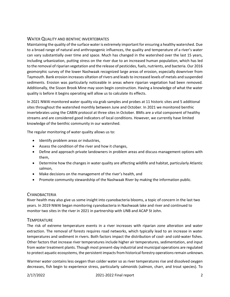#### WATER QUALITY AND BENTHIC INVERTEBRATES

Maintaining the quality of the surface water is extremely important for ensuring a healthy watershed. Due to a broad range of natural and anthropogenic influences, the quality and temperature of a river's water can vary substantially over time and space. Much has changed in the watershed over the last 15 years, including urbanization, putting stress on the river due to an increased human population, which has led to the removal of riparian vegetation and the release of pesticides, fuels, nutrients, and bacteria. Our 2016 geomorphic survey of the lower Nashwaak recognized large areas of erosion, especially downriver from Taymouth. Bank erosion increases siltation of rivers and leads to increased levels of metals and suspended sediments. Erosion was particularly noticeable in areas where riparian vegetation had been removed. Additionally, the Sisson Brook Mine may soon begin construction. Having a knowledge of what the water quality is before it begins operating will allow us to calculate its effects.

In 2021 NWAI monitored water quality via grab samples and probes at 11 historic sites and 5 additional sites throughout the watershed monthly between June and October. In 2021 we monitored benthic invertebrates using the CABIN protocol at three sites in October. BMIs are a vital component of healthy streams and are considered good indicators of local conditions. However, we currently have limited knowledge of the benthic community in our watershed.

The regular monitoring of water quality allows us to:

- Identify problem areas or industries,
- Assess the condition of the river and how it changes,
- Define and approach private landowners in problem areas and discuss management options with them,
- Determine how the changes in water quality are affecting wildlife and habitat, particularly Atlantic salmon,
- Make decisions on the management of the river's health, and
- Promote community stewardship of the Nashwaak River by making the information public.

#### **CYANOBACTERIA**

River health may also give us some insight into cyanobacteria blooms, a topic of concern in the last two years. In 2019 NWAI began monitoring cyanobacteria in Nashwaak lake and river and continued to monitor two sites in the river in 2021 in partnership with UNB and ACAP St John.

#### **TEMPERATURE**

The risk of extreme temperature events in a river increases with riparian zone alteration and water extraction. The removal of forests requires road networks, which typically lead to an increase in water temperatures and sediment in rivers. Both factors impact the distribution of cool- and cold-water fishes. Other factors that increase river temperatures include higher air temperatures, sedimentation, and input from water treatment plants. Though most present-day industrial and municipal operations are regulated to protect aquatic ecosystems, the persistent impacts from historical forestry operations remain unknown.

Warmer water contains less oxygen than colder water so as river temperatures rise and dissolved oxygen decreases, fish begin to experience stress, particularly salmonids (salmon, charr, and trout species). To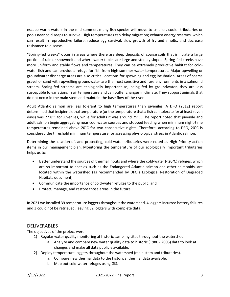escape warm waters in the mid-summer, many fish species will move to smaller, cooler tributaries or pools near cold seeps to survive. High temperatures can delay migration; exhaust energy reserves, which can result in reproductive failure; reduce egg survival; slow growth of fry and smolts; and decrease resistance to disease.

"Spring-fed creeks" occur in areas where there are deep deposits of coarse soils that infiltrate a large portion of rain or snowmelt and where water tables are large and steeply sloped. Spring-fed creeks have more uniform and stable flows and temperatures. They can be extremely productive habitat for coldwater fish and can provide a refuge for fish from high summer water temperatures. Major upwelling or groundwater discharge areas are also critical locations for spawning and egg incubation. Areas of coarse gravel or sand with upwelling groundwater are the most sensitive and rare environments in a salmonid stream. Spring-fed streams are ecologically important as, being fed by groundwater, they are less susceptible to variations in air temperature and can buffer changes in climate. They support animals that do not occur in the main stem and maintain the base flow of the river.

Adult Atlantic salmon are less tolerant to high temperatures than juveniles. A DFO (2012) report determined that incipient lethal temperature (or the temperature that a fish can tolerate for at least seven days) was 27.8°C for juveniles, while for adults it was around 25°C. The report noted that juvenile and adult salmon begin aggregating near cool water sources and stopped feeding when minimum night-time temperatures remained above 20°C for two consecutive nights. Therefore, according to DFO, 20°C is considered the threshold minimum temperature for assessing physiological stress in Atlantic salmon.

Determining the location of, and protecting, cold-water tributaries were noted as High Priority action items in our management plan. Monitoring the temperature of our ecologically important tributaries helps us to:

- Better understand the sources of thermal inputs and where the cold-water (<20°C) refuges, which are so important to species such as the Endangered Atlantic salmon and other salmonids, are located within the watershed (as recommended by DFO's Ecological Restoration of Degraded Habitats document),
- Communicate the importance of cold-water refuges to the public, and
- Protect, manage, and restore those areas in the future.

In 2021 we installed 39 temperature loggers throughout the watershed, 4 loggers incurred battery failures and 3 could not be retrieved, leaving 32 loggers with complete data.

#### **DELIVERABLES**

The objectives of the project were:

- 1) Regular water quality monitoring at historic sampling sites throughout the watershed.
	- a. Analyze and compare new water quality data to historic (1980 2005) data to look at changes and make all data publicly available.
- 2) Deploy temperature loggers throughout the watershed (main stem and tributaries).
	- a. Compare new thermal data to the historical thermal data available.
		- b. Map out cold-water refuges using GIS.